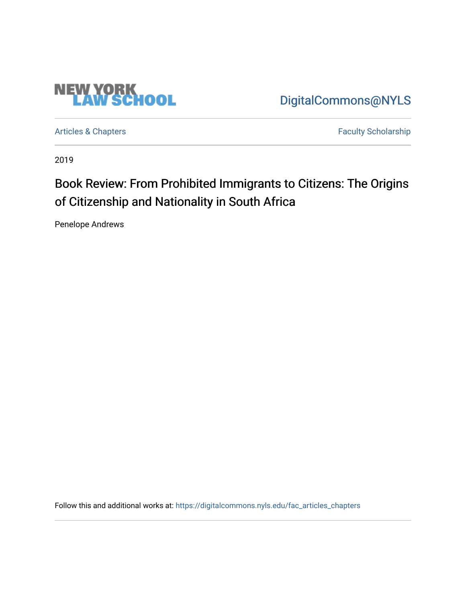

[DigitalCommons@NYLS](https://digitalcommons.nyls.edu/) 

[Articles & Chapters](https://digitalcommons.nyls.edu/fac_articles_chapters) **Faculty Scholarship** 

2019

## Book Review: From Prohibited Immigrants to Citizens: The Origins of Citizenship and Nationality in South Africa

Penelope Andrews

Follow this and additional works at: [https://digitalcommons.nyls.edu/fac\\_articles\\_chapters](https://digitalcommons.nyls.edu/fac_articles_chapters?utm_source=digitalcommons.nyls.edu%2Ffac_articles_chapters%2F1454&utm_medium=PDF&utm_campaign=PDFCoverPages)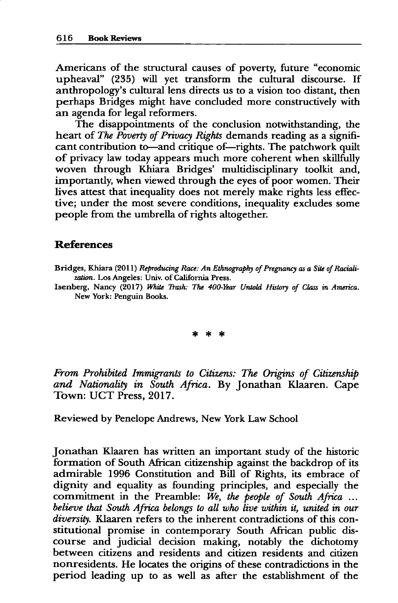Americans of the structural causes of poverty, future "economic upheaval" **(235)** will yet transform the cultural discourse. **If** anthropology's cultural lens directs us to a vision too distant, then perhaps Bridges might have concluded more constructively with an agenda for legal reformers.

The disappointments of the conclusion notwithstanding, the heart of *The Poverty of Privacy Rights* demands reading as a significant contribution to—and critique of—rights. The patchwork quilt of privacy law today appears much more coherent when skillfully woven through Khiara Bridges' multidisciplinary toolkit and, importantly, when viewed through the eyes of poor women. Their lives attest that inequality does not merely make rights less effective; under the most severe conditions, inequality excludes some people from the umbrella of rights altogether.

## **References**

Bridges, Khiara (2011) *Reproducing Race: An Ethnography of Pregnancy as a Site of Racialization.* Los Angeles: Univ. of California Press.

Isenberg, Nancy **(2017)** *White Rash: The 400-Year Untold History of Class in America.* New York: Penguin Books.

\* \* \*

*From Prohibited Immigrants to Citizens: The Origins of Citizenship and Nationality in South Africa.* **By** Jonathan Klaaren. Cape Town: **UCT** Press, **2017.**

Reviewed **by** Penelope Andrews, New York Law School

Jonathan Klaaren has written an important study of the historic formation of South African citizenship against the backdrop of its admirable **1996** Constitution and Bill of Rights, its embrace of dignity and equality as founding principles, and especially the commitment in the Preamble: *We, the people of South Africa* **...** *believe that South Africa belongs to all who live within it, united in our diversity.* Klaaren refers to the inherent contradictions of this constitutional promise in contemporary South African public discourse and judicial decision making, notably the dichotomy between citizens and residents and citizen residents and citizen nonresidents. He locates the origins of these contradictions in the period leading up to as well as after the establishment of the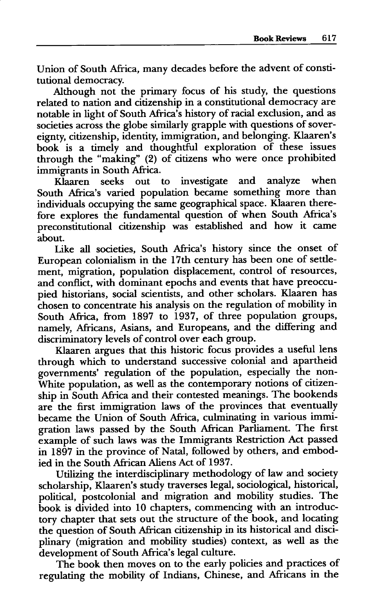Union of South Africa, many decades before the advent of constitutional democracy.

Although not the primary focus of his study, the questions related to nation and citizenship in a constitutional democracy are notable in light of South Africa's history of racial exclusion, and as societies across the globe similarly grapple with questions of sovereignty, citizenship, identity, immigration, and belonging. Klaaren's book is a timely and thoughtful exploration of these issues through the "making" (2) of citizens who were once prohibited immigrants in South Africa.

Klaaren seeks out to investigate and analyze when South Africa's varied population became something more than individuals occupying the same geographical space. Klaaren therefore explores the fundamental question of when South Africa's preconstitutional citizenship was established and how it came about.

Like all societies, South Africa's history since the onset of European colonialism in the 17th century has been one of settlement, migration, population displacement, control of resources, and conflict, with dominant epochs and events that have preoccupied historians, social scientists, and other scholars. Klaaren has chosen to concentrate his analysis on the regulation of mobility in South Africa, from **1897** to **1937,** of three population groups, namely, Africans, Asians, and Europeans, and the differing and discriminatory levels of control over each group.

Klaaren argues that this historic focus provides a useful lens through which to understand successive colonial and apartheid governments' regulation of the population, especially the non-White population, as well as the contemporary notions of citizenship in South Africa and their contested meanings. The bookends are the first immigration laws of the provinces that eventually became the Union of South Africa, culminating in various immigration laws passed **by** the South African Parliament. The first example of such laws was the Immigrants Restriction Act passed in **1897** in the province of Natal, followed **by** others, and embodied in the South African Aliens Act of **1937.**

Utilizing the interdisciplinary methodology of law and society scholarship, Klaaren's study traverses legal, sociological, historical, political, postcolonial and migration and mobility studies. The book is divided into **10** chapters, commencing with an introductory chapter that sets out the structure of the book, and locating the question of South African citizenship in its historical and disciplinary (migration and mobility studies) context, as well as the development of South Africa's legal culture.

The book then moves on to the early policies and practices of regulating the mobility of Indians, Chinese, and Africans in the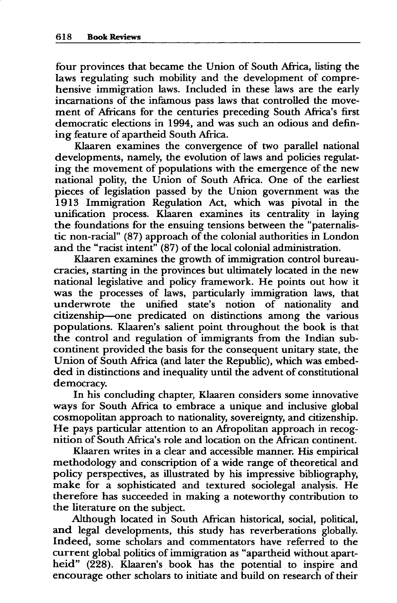four provinces that became the Union of South Africa, listing the laws regulating such mobility and the development of comprehensive immigration laws. Included in these laws are the early incarnations of the infamous pass laws that controlled the movement of Africans for the centuries preceding South Africa's first democratic elections in 1994, and was such an odious and defining feature of apartheid South Africa.

Klaaren examines the convergence of two parallel national developments, namely, the evolution of laws and policies regulating the movement of populations with the emergence of the new national polity, the Union of South Africa. One of the earliest pieces of legislation passed **by** the Union government was the **1913** Immigration Regulation Act, which was pivotal in the unification process. Klaaren examines its centrality in laying the foundations for the ensuing tensions between the "paternalistic non-racial" **(87)** approach of the colonial authorities in London and the "racist intent" **(87)** of the local colonial administration.

Klaaren examines the growth of immigration control bureaucracies, starting in the provinces but ultimately located in the new national legislative and policy framework. He points out how it was the processes of laws, particularly immigration laws, that underwrote the unified state's notion of nationality and citizenship--one predicated on distinctions among the various populations. Klaaren's salient point throughout the book is that the control and regulation of immigrants from the Indian subcontinent provided the basis for the consequent unitary state, the Union of South Africa (and later the Republic), which was embedded in distinctions and inequality until the advent of constitutional democracy.

In his concluding chapter, Klaaren considers some innovative ways for South Africa to embrace a unique and inclusive global cosmopolitan approach to nationality, sovereignty, and citizenship. He pays particular attention to an Afropolitan approach in recognition of South Africa's role and location on the African continent.

Klaaren writes in a clear and accessible manner. His empirical methodology and conscription of a wide range of theoretical and policy perspectives, as illustrated **by** his impressive bibliography, make for a sophisticated and textured sociolegal analysis. He therefore has succeeded in making a noteworthy contribution to the literature on the subject.

Although located in South African historical, social, political, and legal developments, this study has reverberations globally. Indeed, some scholars and commentators have referred to the current global politics of immigration as "apartheid without apartheid" **(228).** Klaaren's book has the potential to inspire and encourage other scholars to initiate and build on research of their